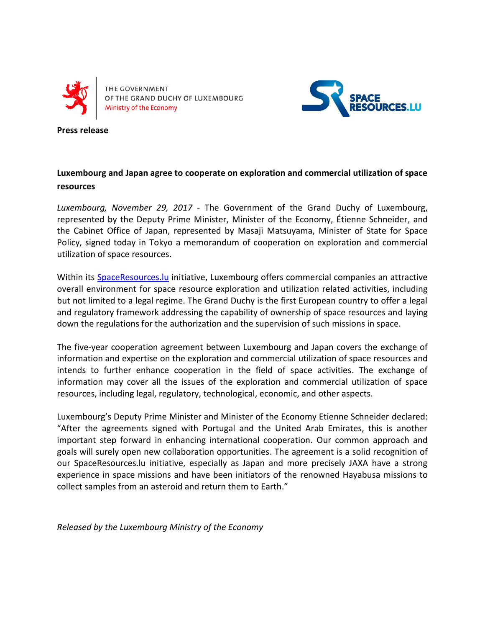

THE GOVERNMENT OF THE GRAND DUCHY OF LUXEMBOURG Ministry of the Economy



**Press release**

## **Luxembourg and Japan agree to cooperate on exploration and commercial utilization of space resources**

*Luxembourg, November 29, 2017* - The Government of the Grand Duchy of Luxembourg, represented by the Deputy Prime Minister, Minister of the Economy, Étienne Schneider, and the Cabinet Office of Japan, represented by Masaji Matsuyama, Minister of State for Space Policy, signed today in Tokyo a memorandum of cooperation on exploration and commercial utilization of space resources.

Within its SpaceResources. Iu initiative, Luxembourg offers commercial companies an attractive overall environment for space resource exploration and utilization related activities, including but not limited to a legal regime. The Grand Duchy is the first European country to offer a legal and regulatory framework addressing the capability of ownership of space resources and laying down the regulations for the authorization and the supervision of such missions in space.

The five-year cooperation agreement between Luxembourg and Japan covers the exchange of information and expertise on the exploration and commercial utilization of space resources and intends to further enhance cooperation in the field of space activities. The exchange of information may cover all the issues of the exploration and commercial utilization of space resources, including legal, regulatory, technological, economic, and other aspects.

Luxembourg's Deputy Prime Minister and Minister of the Economy Etienne Schneider declared: "After the agreements signed with Portugal and the United Arab Emirates, this is another important step forward in enhancing international cooperation. Our common approach and goals will surely open new collaboration opportunities. The agreement is a solid recognition of our SpaceResources.lu initiative, especially as Japan and more precisely JAXA have a strong experience in space missions and have been initiators of the renowned Hayabusa missions to collect samples from an asteroid and return them to Earth."

*Released by the Luxembourg Ministry of the Economy*